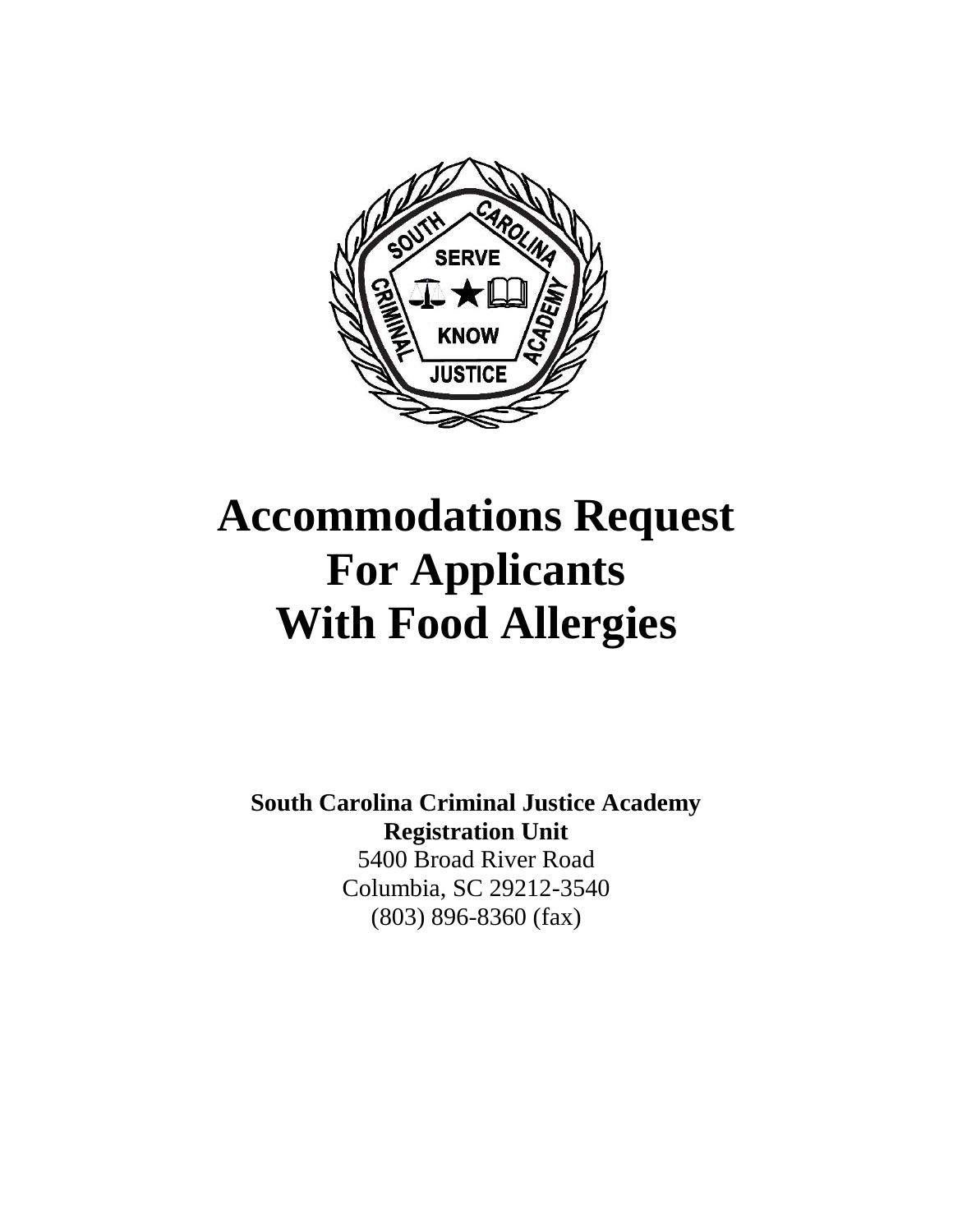

# **Accommodations Request For Applicants With Food Allergies**

**South Carolina Criminal Justice Academy Registration Unit** 5400 Broad River Road Columbia, SC 29212-3540 (803) 896-8360 (fax)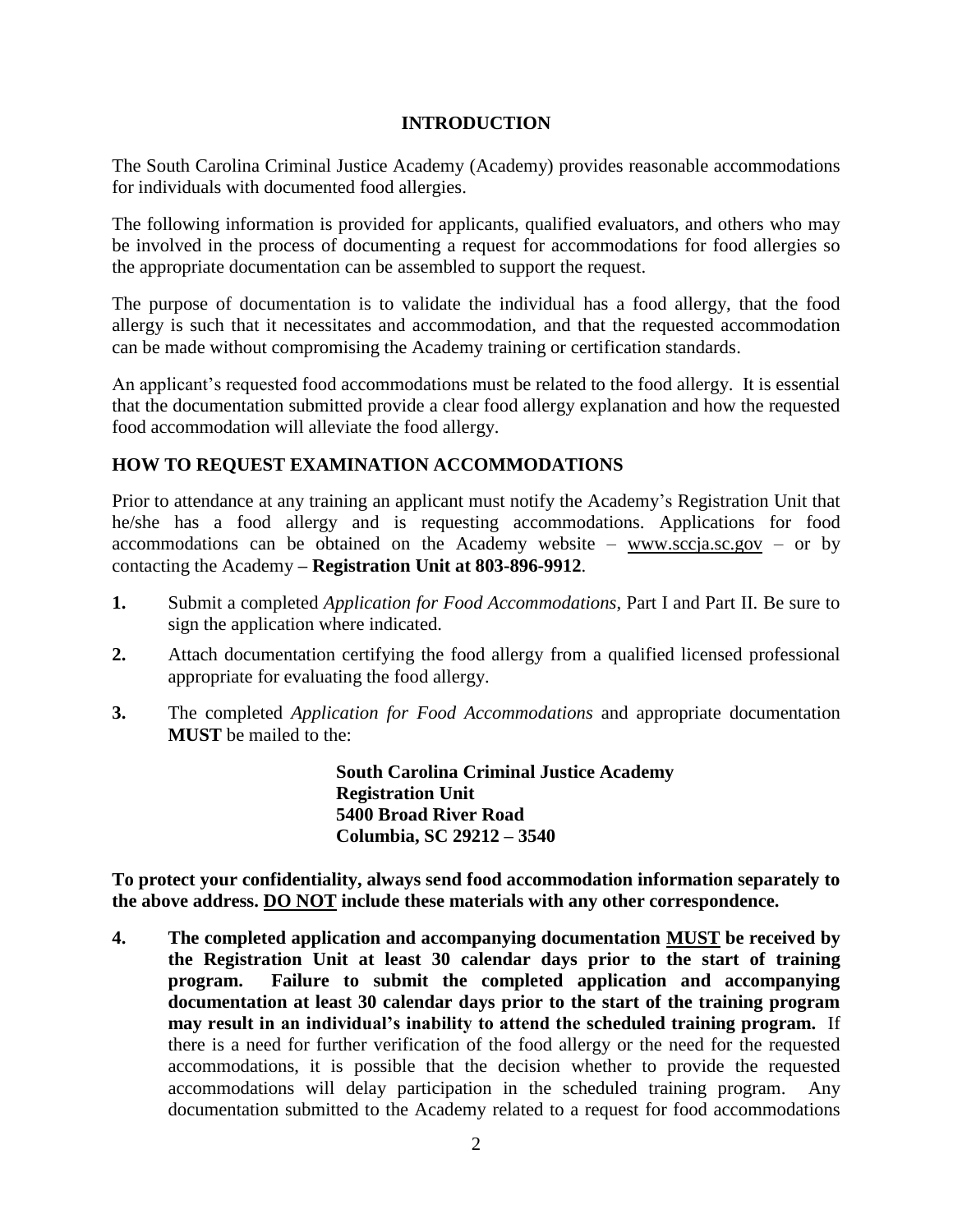#### **INTRODUCTION**

The South Carolina Criminal Justice Academy (Academy) provides reasonable accommodations for individuals with documented food allergies.

The following information is provided for applicants, qualified evaluators, and others who may be involved in the process of documenting a request for accommodations for food allergies so the appropriate documentation can be assembled to support the request.

The purpose of documentation is to validate the individual has a food allergy, that the food allergy is such that it necessitates and accommodation, and that the requested accommodation can be made without compromising the Academy training or certification standards.

An applicant's requested food accommodations must be related to the food allergy. It is essential that the documentation submitted provide a clear food allergy explanation and how the requested food accommodation will alleviate the food allergy.

### **HOW TO REQUEST EXAMINATION ACCOMMODATIONS**

Prior to attendance at any training an applicant must notify the Academy's Registration Unit that he/she has a food allergy and is requesting accommodations. Applications for food accommodations can be obtained on the Academy website – [www.sccja.sc.gov](http://www.sccja.sc.gov/) – or by contacting the Academy **– Registration Unit at 803-896-9912**.

- **1.** Submit a completed *Application for Food Accommodations*, Part I and Part II. Be sure to sign the application where indicated.
- **2.** Attach documentation certifying the food allergy from a qualified licensed professional appropriate for evaluating the food allergy.
- **3.** The completed *Application for Food Accommodations* and appropriate documentation **MUST** be mailed to the:

**South Carolina Criminal Justice Academy Registration Unit 5400 Broad River Road Columbia, SC 29212 – 3540**

**To protect your confidentiality, always send food accommodation information separately to the above address. DO NOT include these materials with any other correspondence.** 

**4. The completed application and accompanying documentation MUST be received by the Registration Unit at least 30 calendar days prior to the start of training program. Failure to submit the completed application and accompanying documentation at least 30 calendar days prior to the start of the training program may result in an individual's inability to attend the scheduled training program.** If there is a need for further verification of the food allergy or the need for the requested accommodations, it is possible that the decision whether to provide the requested accommodations will delay participation in the scheduled training program. Any documentation submitted to the Academy related to a request for food accommodations